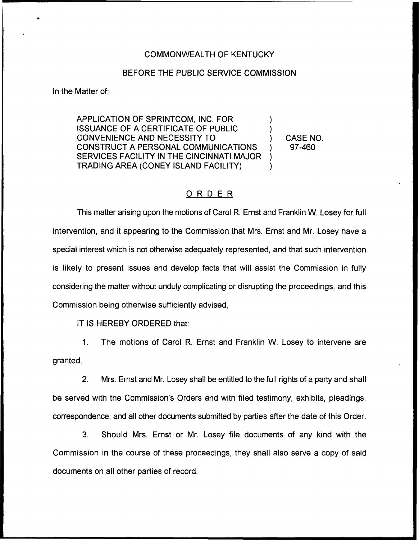## COMMONWEALTH OF KENTUCKY

## BEFORE THE PUBLIC SERVICE COMMISSION

In the Matter of:

APPLICATION OF SPRINTCOM, INC. FOR ) ISSUANCE OF A CERTIFICATE OF PUBLIC ) CONVENIENCE AND NECESSITY TO ) CONSTRUCT A PERSONAL COMMUNICATIONS ) SERVICES FACILITY IN THE CINCINNATI MAJOR ) TRADING AREA (CONEY ISLAND FACILITY) )

CASE NO. 97-460

## ORDER

This matter arising upon the motions of Carol R. Ernst and Franklin W. Losey for full intervention, and it appearing to the Commission that Mrs. Ernst and Mr. Losey have a special interest which is not otherwise adequately represented, and that such intervention is likely to present issues and develop facts that will assist the Commission in fully considering the matter without unduly complicating or disrupting the proceedings, and this Commission being otherwise sufficiently advised,

IT IS HEREBY ORDERED that:

1. The motions of Carol R. Ernst and Franklin W. Losey to intervene are granted.

2. Mrs. Ernst and Mr. Losey shall be entitled to the full rights of a party and shall be served with the Commission's Orders and with filed testimony, exhibits, pleadings, correspondence, and all other documents submitted by parties after the date of this Order.

3. Should Mrs. Ernst or Mr. Losey file documents of any kind with the Commission in the course of these proceedings, they shall also serve a copy of said documents on all other parties of record.